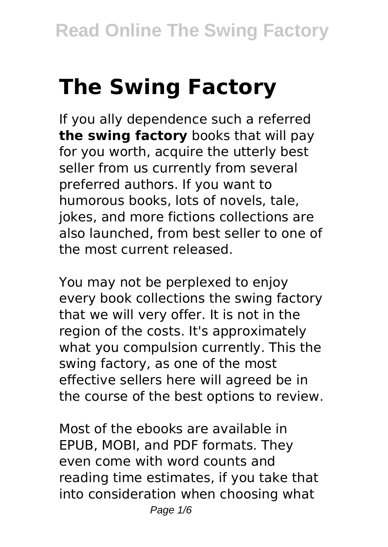# **The Swing Factory**

If you ally dependence such a referred **the swing factory** books that will pay for you worth, acquire the utterly best seller from us currently from several preferred authors. If you want to humorous books, lots of novels, tale, jokes, and more fictions collections are also launched, from best seller to one of the most current released.

You may not be perplexed to enjoy every book collections the swing factory that we will very offer. It is not in the region of the costs. It's approximately what you compulsion currently. This the swing factory, as one of the most effective sellers here will agreed be in the course of the best options to review.

Most of the ebooks are available in EPUB, MOBI, and PDF formats. They even come with word counts and reading time estimates, if you take that into consideration when choosing what Page  $1/6$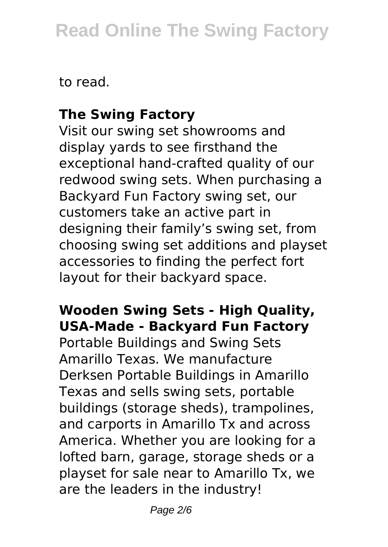to read.

#### **The Swing Factory**

Visit our swing set showrooms and display yards to see firsthand the exceptional hand-crafted quality of our redwood swing sets. When purchasing a Backyard Fun Factory swing set, our customers take an active part in designing their family's swing set, from choosing swing set additions and playset accessories to finding the perfect fort layout for their backyard space.

#### **Wooden Swing Sets - High Quality, USA-Made - Backyard Fun Factory**

Portable Buildings and Swing Sets Amarillo Texas. We manufacture Derksen Portable Buildings in Amarillo Texas and sells swing sets, portable buildings (storage sheds), trampolines, and carports in Amarillo Tx and across America. Whether you are looking for a lofted barn, garage, storage sheds or a playset for sale near to Amarillo Tx, we are the leaders in the industry!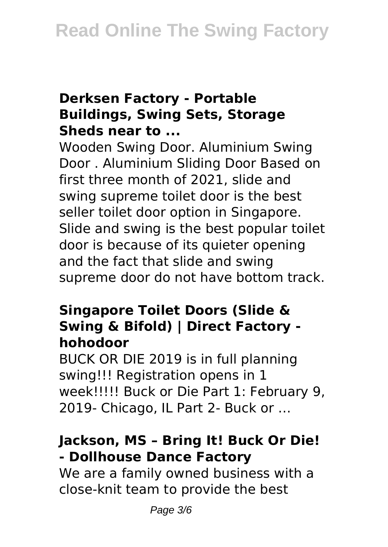#### **Derksen Factory - Portable Buildings, Swing Sets, Storage Sheds near to ...**

Wooden Swing Door. Aluminium Swing Door . Aluminium Sliding Door Based on first three month of 2021, slide and swing supreme toilet door is the best seller toilet door option in Singapore. Slide and swing is the best popular toilet door is because of its quieter opening and the fact that slide and swing supreme door do not have bottom track.

#### **Singapore Toilet Doors (Slide & Swing & Bifold) | Direct Factory hohodoor**

BUCK OR DIE 2019 is in full planning swing!!! Registration opens in 1 week!!!!! Buck or Die Part 1: February 9, 2019- Chicago, IL Part 2- Buck or …

#### **Jackson, MS – Bring It! Buck Or Die! - Dollhouse Dance Factory**

We are a family owned business with a close-knit team to provide the best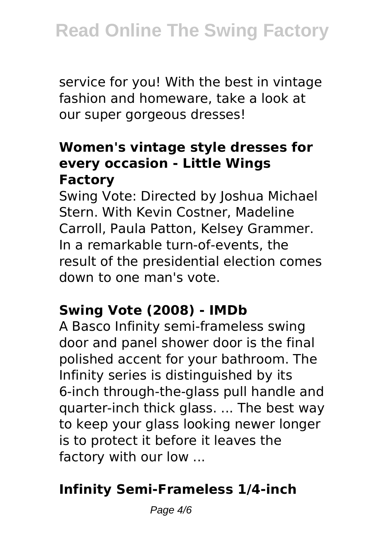service for you! With the best in vintage fashion and homeware, take a look at our super gorgeous dresses!

#### **Women's vintage style dresses for every occasion - Little Wings Factory**

Swing Vote: Directed by Joshua Michael Stern. With Kevin Costner, Madeline Carroll, Paula Patton, Kelsey Grammer. In a remarkable turn-of-events, the result of the presidential election comes down to one man's vote.

## **Swing Vote (2008) - IMDb**

A Basco Infinity semi-frameless swing door and panel shower door is the final polished accent for your bathroom. The Infinity series is distinguished by its 6-inch through-the-glass pull handle and quarter-inch thick glass. ... The best way to keep your glass looking newer longer is to protect it before it leaves the factory with our low ...

### **Infinity Semi-Frameless 1/4-inch**

Page  $4/6$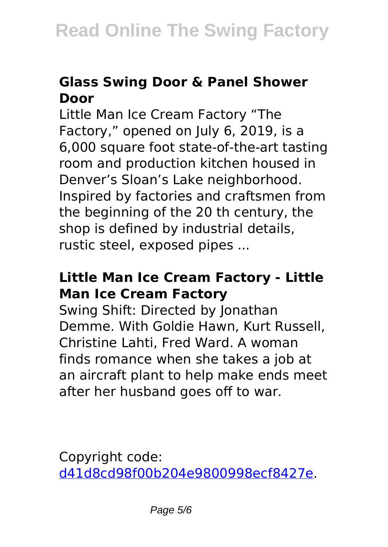#### **Glass Swing Door & Panel Shower Door**

Little Man Ice Cream Factory "The Factory," opened on July 6, 2019, is a 6,000 square foot state-of-the-art tasting room and production kitchen housed in Denver's Sloan's Lake neighborhood. Inspired by factories and craftsmen from the beginning of the 20 th century, the shop is defined by industrial details, rustic steel, exposed pipes ...

#### **Little Man Ice Cream Factory - Little Man Ice Cream Factory**

Swing Shift: Directed by Jonathan Demme. With Goldie Hawn, Kurt Russell, Christine Lahti, Fred Ward. A woman finds romance when she takes a job at an aircraft plant to help make ends meet after her husband goes off to war.

Copyright code: [d41d8cd98f00b204e9800998ecf8427e.](/sitemap.xml)